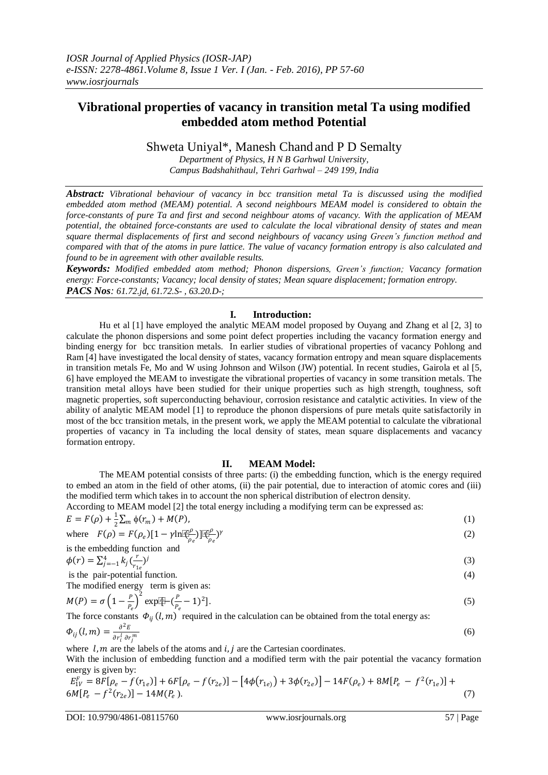# **Vibrational properties of vacancy in transition metal Ta using modified embedded atom method Potential**

Shweta Uniyal\*, Manesh Chand and P D Semalty

*Department of Physics, H N B Garhwal University, Campus Badshahithaul, Tehri Garhwal – 249 199, India*

*Abstract: Vibrational behaviour of vacancy in bcc transition metal Ta is discussed using the modified embedded atom method (MEAM) potential. A second neighbours MEAM model is considered to obtain the force-constants of pure Ta and first and second neighbour atoms of vacancy. With the application of MEAM potential, the obtained force-constants are used to calculate the local vibrational density of states and mean square thermal displacements of first and second neighbours of vacancy using Green's function method and compared with that of the atoms in pure lattice. The value of vacancy formation entropy is also calculated and found to be in agreement with other available results.*

*Keywords: Modified embedded atom method; Phonon dispersions, Green's function; Vacancy formation energy: Force-constants; Vacancy; local density of states; Mean square displacement; formation entropy. PACS Nos: 61.72.jd, 61.72.S- , 63.20.D-;* 

## **I. Introduction:**

Hu et al [1] have employed the analytic MEAM model proposed by Ouyang and Zhang et al [2, 3] to calculate the phonon dispersions and some point defect properties including the vacancy formation energy and binding energy for bcc transition metals. In earlier studies of vibrational properties of vacancy Pohlong and Ram [4] have investigated the local density of states, vacancy formation entropy and mean square displacements in transition metals Fe, Mo and W using Johnson and Wilson (JW) potential. In recent studies, Gairola et al [5, 6] have employed the MEAM to investigate the vibrational properties of vacancy in some transition metals. The transition metal alloys have been studied for their unique properties such as high strength, toughness, soft magnetic properties, soft superconducting behaviour, corrosion resistance and catalytic activities. In view of the ability of analytic MEAM model [1] to reproduce the phonon dispersions of pure metals quite satisfactorily in most of the bcc transition metals, in the present work, we apply the MEAM potential to calculate the vibrational properties of vacancy in Ta including the local density of states, mean square displacements and vacancy formation entropy.

#### **II. MEAM Model:**

The MEAM potential consists of three parts: (i) the embedding function, which is the energy required to embed an atom in the field of other atoms, (ii) the pair potential, due to interaction of atomic cores and (iii) the modified term which takes in to account the non spherical distribution of electron density.

According to MEAM model [2] the total energy including a modifying term can be expressed as:

$$
E = F(\rho) + \frac{1}{2} \sum_{m} \phi(r_m) + M(P),
$$
  
where  $F(\rho) = F(\rho) [1 - \gamma] \overline{\phi}^{\rho} \overline{\phi}^{\rho}$  (2)

where 
$$
F(\rho) = F(\rho_e)[1 - \gamma \ln[\mathbb{E}_{\rho_e}^{\mu}])^{\dagger}[\mathbb{E}_{\rho_e}^{\mu}]^{\gamma}
$$
  
is the embedding function and

$$
\phi(r) = \sum_{j=-1}^{4} k_j \left(\frac{r}{r_{1e}}\right)^j
$$

is the pair-potential function. (4)

The modified energy term is given as:

$$
M(P) = \sigma \left( 1 - \frac{P}{P_e} \right)^2 \exp[\mathbb{E} - (\frac{P}{P_e} - 1)^2].
$$
\n<sup>(5)</sup>

The force constants  $\Phi_{ij}(l,m)$  required in the calculation can be obtained from the total energy as:

$$
\Phi_{ij}(l,m) = \frac{\partial^2 E}{\partial r_i^l \partial r_j^m} \tag{6}
$$

where  $l, m$  are the labels of the atoms and  $i, j$  are the Cartesian coordinates.

With the inclusion of embedding function and a modified term with the pair potential the vacancy formation energy is given by:

$$
E_{1V}^F = 8F[\rho_e - f(r_{1e})] + 6F[\rho_e - f(r_{2e})] - [4\phi(r_{1e}) + 3\phi(r_{2e})] - 14F(\rho_e) + 8M[P_e - f^2(r_{1e})] + 6M[P_e - f^2(r_{2e})] - 14M(P_e).
$$
\n(7)

(3)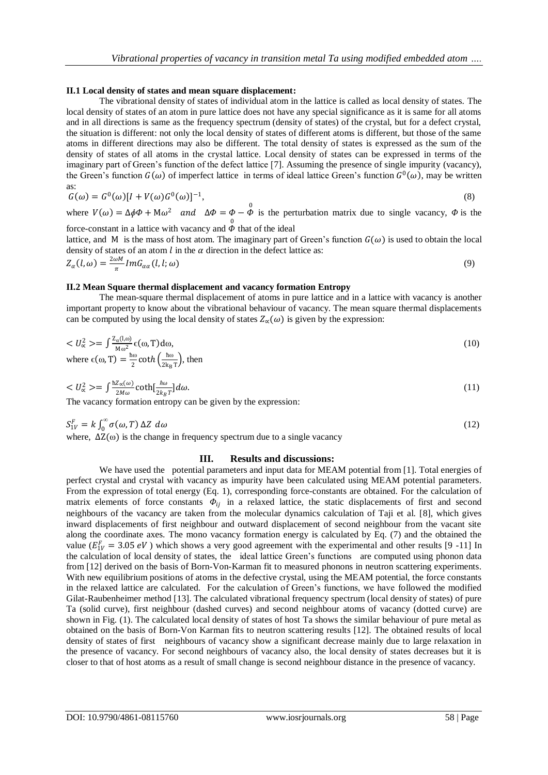#### **II.1 Local density of states and mean square displacement:**

The vibrational density of states of individual atom in the lattice is called as local density of states. The local density of states of an atom in pure lattice does not have any special significance as it is same for all atoms and in all directions is same as the frequency spectrum (density of states) of the crystal, but for a defect crystal, the situation is different: not only the local density of states of different atoms is different, but those of the same atoms in different directions may also be different. The total density of states is expressed as the sum of the density of states of all atoms in the crystal lattice. Local density of states can be expressed in terms of the imaginary part of Green's function of the defect lattice [7]. Assuming the presence of single impurity (vacancy), the Green's function  $G(\omega)$  of imperfect lattice in terms of ideal lattice Green's function  $G^0(\omega)$ , may be written as:

$$
G(\omega) = G^{0}(\omega)[I + V(\omega)G^{0}(\omega)]^{-1},
$$
\n(8)

where  $V(\omega) = \Delta \phi \Phi + M \omega^2$  and  $\Delta \Phi = \Phi - \Phi$  is the perturbation matrix due to single vacancy,  $\Phi$  is the force-constant in a lattice with vacancy and  $\phi$  that of the ideal

lattice, and M is the mass of host atom. The imaginary part of Green's function  $G(\omega)$  is used to obtain the local density of states of an atom  $l$  in the  $\alpha$  direction in the defect lattice as:

$$
Z_{\alpha}(l,\omega) = \frac{2\omega M}{\pi} Im G_{\alpha\alpha}(l,l;\omega)
$$
\n(9)

#### **II.2 Mean Square thermal displacement and vacancy formation Entropy**

The mean-square thermal displacement of atoms in pure lattice and in a lattice with vacancy is another important property to know about the vibrational behaviour of vacancy. The mean square thermal displacements can be computed by using the local density of states  $Z_{\alpha}(\omega)$  is given by the expression:

$$
\langle U_{\alpha}^2 \rangle = \int \frac{Z_{\alpha}(l,\omega)}{M\omega^2} \epsilon(\omega,T) d\omega,
$$
  
where  $\epsilon(\omega,T) = \frac{\hbar \omega}{2} \coth\left(\frac{\hbar \omega}{2k_B T}\right)$ , then

$$
\langle U_{\alpha}^{2} \rangle = \int \frac{\hbar Z_{\alpha}(\omega)}{2M\omega} \coth[\frac{\hbar \omega}{2k_{B}T}] d\omega.
$$
\nThe necessary formula entropy can be given by the expression:

\n
$$
\int \frac{\hbar Z_{\alpha}(\omega)}{2M\omega} \coth\left(\frac{\hbar \omega}{2k_{B}T}\right) d\omega.
$$

The vacancy formation entropy can be given by the expression:

$$
S_{1V}^F = k \int_0^\infty \sigma(\omega, T) \Delta Z \, d\omega \tag{12}
$$

where,  $\Delta Z(\omega)$  is the change in frequency spectrum due to a single vacancy

#### **III. Results and discussions:**

We have used the potential parameters and input data for MEAM potential from [1]. Total energies of perfect crystal and crystal with vacancy as impurity have been calculated using MEAM potential parameters. From the expression of total energy (Eq. 1), corresponding force-constants are obtained. For the calculation of matrix elements of force constants  $\Phi_{ij}$  in a relaxed lattice, the static displacements of first and second neighbours of the vacancy are taken from the molecular dynamics calculation of Taji et al. [8], which gives inward displacements of first neighbour and outward displacement of second neighbour from the vacant site along the coordinate axes. The mono vacancy formation energy is calculated by Eq. (7) and the obtained the value ( $E_{1V}^F = 3.05 \text{ eV}$ ) which shows a very good agreement with the experimental and other results [9 -11] In the calculation of local density of states, the ideal lattice Green's functions are computed using phonon data from [12] derived on the basis of Born-Von-Karman fit to measured phonons in neutron scattering experiments. With new equilibrium positions of atoms in the defective crystal, using the MEAM potential, the force constants in the relaxed lattice are calculated. For the calculation of Green's functions, we have followed the modified Gilat-Raubenheimer method [13]. The calculated vibrational frequency spectrum (local density of states) of pure Ta (solid curve), first neighbour (dashed curves) and second neighbour atoms of vacancy (dotted curve) are shown in Fig. (1). The calculated local density of states of host Ta shows the similar behaviour of pure metal as obtained on the basis of Born-Von Karman fits to neutron scattering results [12]. The obtained results of local density of states of first neighbours of vacancy show a significant decrease mainly due to large relaxation in the presence of vacancy. For second neighbours of vacancy also, the local density of states decreases but it is closer to that of host atoms as a result of small change is second neighbour distance in the presence of vacancy.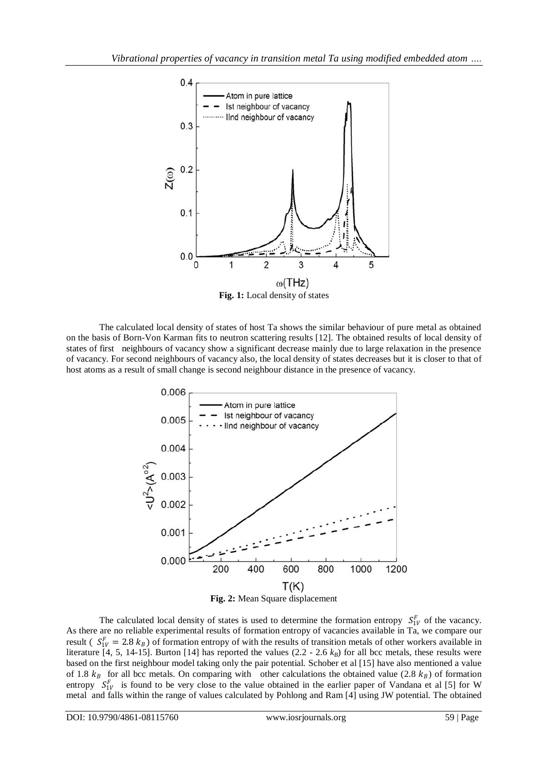

**Fig. 1:** Local density of states

The calculated local density of states of host Ta shows the similar behaviour of pure metal as obtained on the basis of Born-Von Karman fits to neutron scattering results [12]. The obtained results of local density of states of first neighbours of vacancy show a significant decrease mainly due to large relaxation in the presence of vacancy. For second neighbours of vacancy also, the local density of states decreases but it is closer to that of host atoms as a result of small change is second neighbour distance in the presence of vacancy.



The calculated local density of states is used to determine the formation entropy  $S_{1V}^F$  of the vacancy. As there are no reliable experimental results of formation entropy of vacancies available in Ta, we compare our result ( $S_{1V}^F = 2.8 k_B$ ) of formation entropy of with the results of transition metals of other workers available in literature [4, 5, 14-15]. Burton [14] has reported the values  $(2.2 - 2.6 k_B)$  for all bcc metals, these results were based on the first neighbour model taking only the pair potential. Schober et al [15] have also mentioned a value of 1.8  $k_B$  for all bcc metals. On comparing with other calculations the obtained value (2.8  $k_B$ ) of formation entropy  $S_{1V}^F$  is found to be very close to the value obtained in the earlier paper of Vandana et al [5] for W metal and falls within the range of values calculated by Pohlong and Ram [4] using JW potential. The obtained